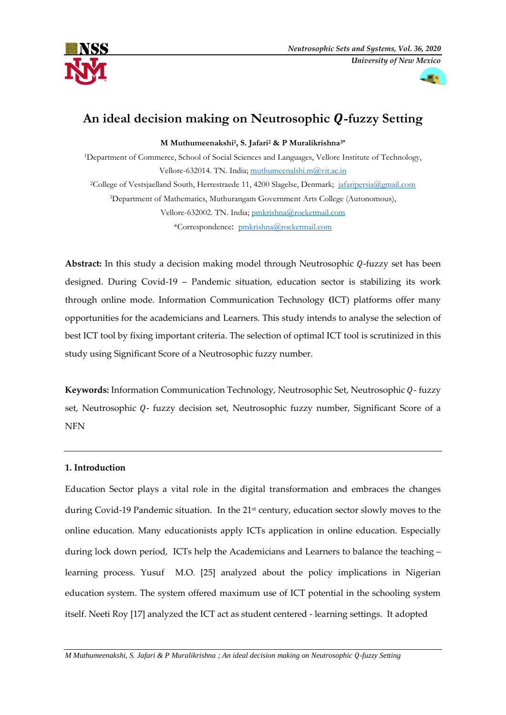



# An ideal decision making on Neutrosophic Q-fuzzy Setting

**M Muthumeenakshi<sup>1</sup> , S. Jafari<sup>2</sup> & P Muralikrishna3\***

<sup>1</sup>Department of Commerce, School of Social Sciences and Languages, Vellore Institute of Technology, Vellore-632014. TN. India; [muthumeenalshi.m@vit.ac.in](mailto:muthumeenalshi.m@vit.ac.in) <sup>2</sup>College of Vestsjaelland South, Herrestraede 11, 4200 Slagelse, Denmark; [jafaripersia@gmail.com](mailto:jafaripersia@gmail.com) <sup>3</sup>Department of Mathematics, Muthurangam Government Arts College (Autonomous), Vellore-632002. TN. India; [pmkrishna@rocketmail.com](mailto:pmkrishna@rocketmail.com) \*Correspondence: [pmkrishna@rocketmail.com](mailto:pmkrishna@rocketmail.com)

**Abstract:** In this study a decision making model through Neutrosophic Q-fuzzy set has been designed. During Covid-19 – Pandemic situation, education sector is stabilizing its work through online mode. Information Communication Technology **(**ICT) platforms offer many opportunities for the academicians and Learners. This study intends to analyse the selection of best ICT tool by fixing important criteria. The selection of optimal ICT tool is scrutinized in this study using Significant Score of a Neutrosophic fuzzy number.

**Keywords:** Information Communication Technology, Neutrosophic Set, Neutrosophic Q-fuzzy set, Neutrosophic Q- fuzzy decision set, Neutrosophic fuzzy number, Significant Score of a NFN

# **1. Introduction**

Education Sector plays a vital role in the digital transformation and embraces the changes during Covid-19 Pandemic situation. In the 21<sup>st</sup> century, education sector slowly moves to the online education. Many educationists apply ICTs application in online education. Especially during lock down period, ICTs help the Academicians and Learners to balance the teaching – learning process. Yusuf M.O. [25] analyzed about the policy implications in Nigerian education system. The system offered maximum use of ICT potential in the schooling system itself. Neeti Roy [17] analyzed the ICT act as student centered - learning settings. It adopted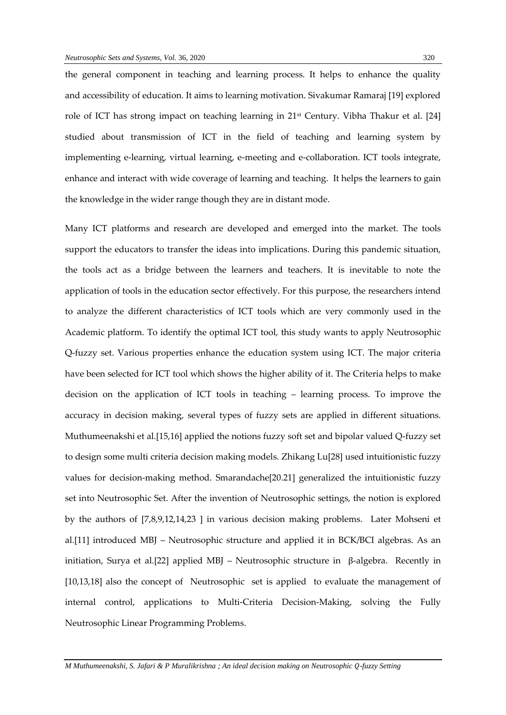the general component in teaching and learning process. It helps to enhance the quality and accessibility of education. It aims to learning motivation. Sivakumar Ramaraj [19] explored role of ICT has strong impact on teaching learning in 21st Century. Vibha Thakur et al. [24] studied about transmission of ICT in the field of teaching and learning system by implementing e-learning, virtual learning, e-meeting and e-collaboration. ICT tools integrate, enhance and interact with wide coverage of learning and teaching. It helps the learners to gain the knowledge in the wider range though they are in distant mode.

Many ICT platforms and research are developed and emerged into the market. The tools support the educators to transfer the ideas into implications. During this pandemic situation, the tools act as a bridge between the learners and teachers. It is inevitable to note the application of tools in the education sector effectively. For this purpose, the researchers intend to analyze the different characteristics of ICT tools which are very commonly used in the Academic platform. To identify the optimal ICT tool, this study wants to apply Neutrosophic Q-fuzzy set. Various properties enhance the education system using ICT. The major criteria have been selected for ICT tool which shows the higher ability of it. The Criteria helps to make decision on the application of ICT tools in teaching – learning process. To improve the accuracy in decision making, several types of fuzzy sets are applied in different situations. Muthumeenakshi et al.[15,16] applied the notions fuzzy soft set and bipolar valued Q-fuzzy set to design some multi criteria decision making models. Zhikang Lu[28] used intuitionistic fuzzy values for decision-making method. Smarandache[20.21] generalized the intuitionistic fuzzy set into Neutrosophic Set. After the invention of Neutrosophic settings, the notion is explored by the authors of [7,8,9,12,14,23 ] in various decision making problems. Later Mohseni et al.[11] introduced MBJ – Neutrosophic structure and applied it in BCK/BCI algebras. As an initiation, Surya et al.[22] applied MBJ – Neutrosophic structure in β-algebra. Recently in [10,13,18] also the concept of Neutrosophic set is applied to evaluate the management of [internal control,](http://fs.unm.edu/NSS/ProposalNeutrosophicIndex.pdf) [applications to Multi-Criteria Decision-Making,](http://fs.unm.edu/NSS/NeutrosophicSoftRough12.pdf) solving the Fully Neutrosophic Linear Programming Problems.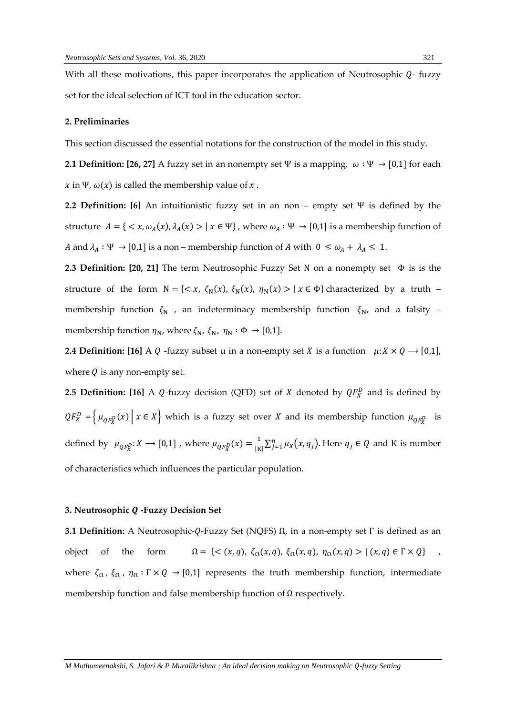With all these motivations, this paper incorporates the application of Neutrosophic  $Q$ - fuzzy set for the ideal selection of ICT tool in the education sector.

#### **2. Preliminaries**

This section discussed the essential notations for the construction of the model in this study.

**2.1 Definition: [26, 27]** A fuzzy set in an nonempty set Ψ is a mapping,  $\omega : \Psi \to [0,1]$  for each  $x$  in Ψ,  $\omega(x)$  is called the membership value of  $x$ .

**2.2 Definition: [6]** An intuitionistic fuzzy set in an non – empty set Ψ is defined by the structure  $A = \{ \langle x, \omega_A(x), \lambda_A(x) \rangle \mid x \in \Psi \}$ , where  $\omega_A : \Psi \to [0,1]$  is a membership function of A and  $\lambda_A : \Psi \to [0,1]$  is a non – membership function of A with  $0 \le \omega_A + \lambda_A \le 1$ .

**2.3 Definition: [20, 21]** The term Neutrosophic Fuzzy Set Ν on a nonempty set Φ is is the structure of the form  $N = \{ \langle x, \zeta_N(x), \xi_N(x), \eta_N(x) \rangle \mid x \in \Phi \}$  characterized by a truth – membership function  $\zeta_N$ , an indeterminacy membership function  $\xi_N$ , and a falsity – membership function  $\eta_N$ , where  $\zeta_N$ ,  $\xi_N$ ,  $\eta_N : \Phi \to [0,1]$ .

**2.4 Definition:** [16] A Q -fuzzy subset  $\mu$  in a non-empty set X is a function  $\mu: X \times Q \rightarrow [0,1]$ , where  $Q$  is any non-empty set.

**2.5 Definition:** [16] A Q-fuzzy decision (QFD) set of X denoted by  $QF_X^D$  and is defined by  $QF_X^D = \left\{ \mu_{QF_X^D}(x) \mid x \in X \right\}$  which is a fuzzy set over X and its membership function  $\mu_{QF_X^D}$  is defined by  $\mu_{QF_X^D}: X \longrightarrow [0,1]$  , where  $\mu_{QF_X^D}(x) = \frac{1}{|K|}$  $\frac{1}{|K|}\sum_{j=1}^n \mu_X(x,q_j)$ . Here  $q_j \in Q$  and K is number of characteristics which influences the particular population.

#### **3. Neutrosophic Q -Fuzzy Decision Set**

**3.1 Definition:** A Neutrosophic-Q-Fuzzy Set (NQFS) Ω, in a non-empty set Γ is defined as an object of the form  $\Omega = \{ \langle (x, q), \zeta_{\Omega}(x, q), \xi_{\Omega}(x, q), \eta_{\Omega}(x, q) \rangle | (x, q) \in \Gamma \times Q \}$ , where  $\zeta_{\Omega}$ ,  $\zeta_{\Omega}$ ,  $\eta_{\Omega}$ :  $\Gamma \times Q \rightarrow [0,1]$  represents the truth membership function, intermediate membership function and false membership function of Ω respectively.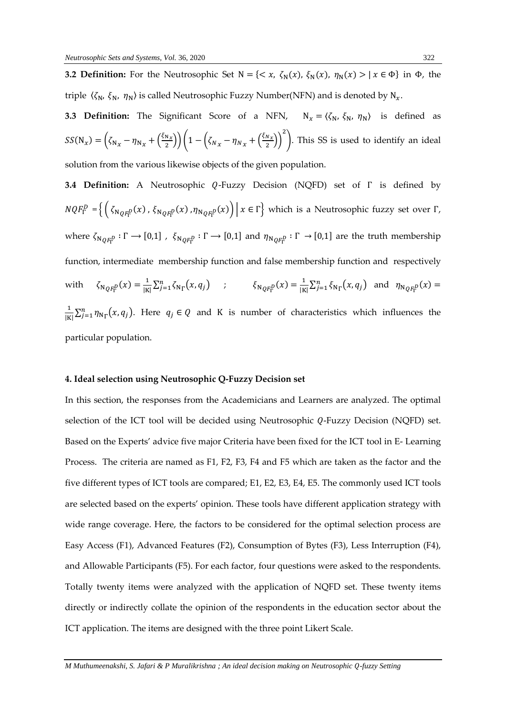**3.2 Definition:** For the Neutrosophic Set  $N = \{ \langle x, \zeta_N(x), \xi_N(x), \eta_N(x) \rangle \mid x \in \Phi \}$  in  $\Phi$ , the triple  $\langle \zeta_N, \xi_N, \eta_N \rangle$  is called Neutrosophic Fuzzy Number(NFN) and is denoted by  $N_x$ .

**3.3 Definition:** The Significant Score of a NFN,  $N_x = \langle \zeta_N, \xi_N, \eta_N \rangle$  is defined as  $SS(N_x) = (\zeta_{N_x} - \eta_{N_x} + (\frac{\zeta_{N_x}}{2})$  $\left(\frac{N_X}{2}\right)\right)\left(1-\left(\zeta_{N_X}-\eta_{N_X}+\left(\frac{\xi_{N_X}}{2}\right)\right)$  $\frac{N_{x}}{2}\big)\bigg)$ 2 ). This SS is used to identify an ideal solution from the various likewise objects of the given population.

**3.4 Definition:** A Neutrosophic Q-Fuzzy Decision (NQFD) set of Γ is defined by  $N Q F_{\Gamma}^{D} = \left\{ \left( \zeta_{N Q F_{\Gamma}^{D}}(x) \, , \, \zeta_{N Q F_{\Gamma}^{D}}(x) \, , \eta_{N Q F_{\Gamma}^{D}}(x) \right) \, \middle| \, x \in \Gamma \right\}$  which is a Neutrosophic fuzzy set over  $\Gamma$ , where  $\zeta_{N_{QF_{\Gamma}^D}}:\Gamma\to[0,1]$  ,  $\zeta_{N_{QF_{\Gamma}^D}}:\Gamma\to[0,1]$  and  $\eta_{N_{QF_{\Gamma}^D}}:\Gamma\to[0,1]$  are the truth membership function, intermediate membership function and false membership function and respectively with  $\zeta_{NQF_{\Gamma}^D}(x) = \frac{1}{|K|}$  $\frac{1}{|K|} \sum_{j=1}^{n} \zeta_{N}(\mathbf{x}, q_j)$  ;  $\zeta_{N}(\mathbf{x}) = \frac{1}{|K|}$  $\frac{1}{|K|} \sum_{j=1}^n \xi_{N_\Gamma}(x, q_j)$  and  $\eta_{N_{QF_\Gamma^D}}(x) =$ 1  $\frac{1}{|K|}\sum_{j=1}^n \eta_{N_\Gamma}(x, q_j)$ . Here  $q_j \in Q$  and K is number of characteristics which influences the particular population.

### **4. Ideal selection using Neutrosophic Q-Fuzzy Decision set**

In this section, the responses from the Academicians and Learners are analyzed. The optimal selection of the ICT tool will be decided using Neutrosophic  $Q$ -Fuzzy Decision (NQFD) set. Based on the Experts' advice five major Criteria have been fixed for the ICT tool in E- Learning Process. The criteria are named as F1, F2, F3, F4 and F5 which are taken as the factor and the five different types of ICT tools are compared; E1, E2, E3, E4, E5. The commonly used ICT tools are selected based on the experts' opinion. These tools have different application strategy with wide range coverage. Here, the factors to be considered for the optimal selection process are Easy Access (F1), Advanced Features (F2), Consumption of Bytes (F3), Less Interruption (F4), and Allowable Participants (F5). For each factor, four questions were asked to the respondents. Totally twenty items were analyzed with the application of NQFD set. These twenty items directly or indirectly collate the opinion of the respondents in the education sector about the ICT application. The items are designed with the three point Likert Scale.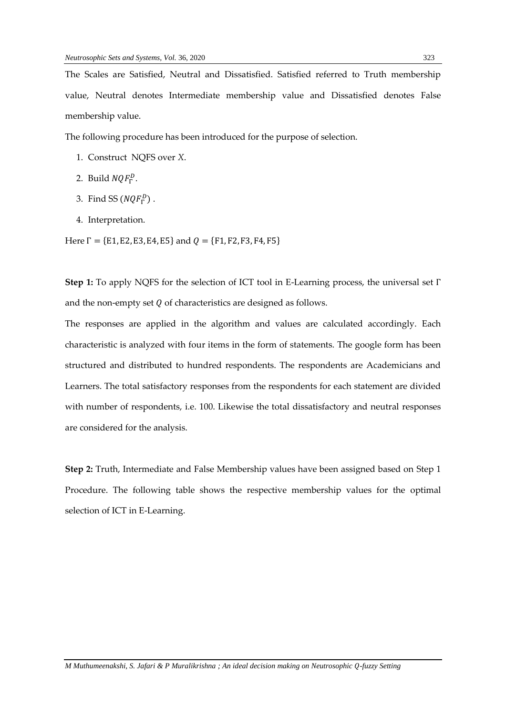The Scales are Satisfied, Neutral and Dissatisfied. Satisfied referred to Truth membership value, Neutral denotes Intermediate membership value and Dissatisfied denotes False membership value.

The following procedure has been introduced for the purpose of selection.

- 1. Construct NQFS over *X*.
- 2. Build  $NQF_{\Gamma}^D$ .
- 3. Find SS  $(NQF_{\Gamma}^D)$  .
- 4. Interpretation.

Here  $\Gamma = \{E1, E2, E3, E4, E5\}$  and  $Q = \{F1, F2, F3, F4, F5\}$ 

**Step 1:** To apply NQFS for the selection of ICT tool in E-Learning process, the universal set Γ and the non-empty set  $Q$  of characteristics are designed as follows.

The responses are applied in the algorithm and values are calculated accordingly. Each characteristic is analyzed with four items in the form of statements. The google form has been structured and distributed to hundred respondents. The respondents are Academicians and Learners. The total satisfactory responses from the respondents for each statement are divided with number of respondents, i.e. 100. Likewise the total dissatisfactory and neutral responses are considered for the analysis.

**Step 2:** Truth, Intermediate and False Membership values have been assigned based on Step 1 Procedure. The following table shows the respective membership values for the optimal selection of ICT in E-Learning.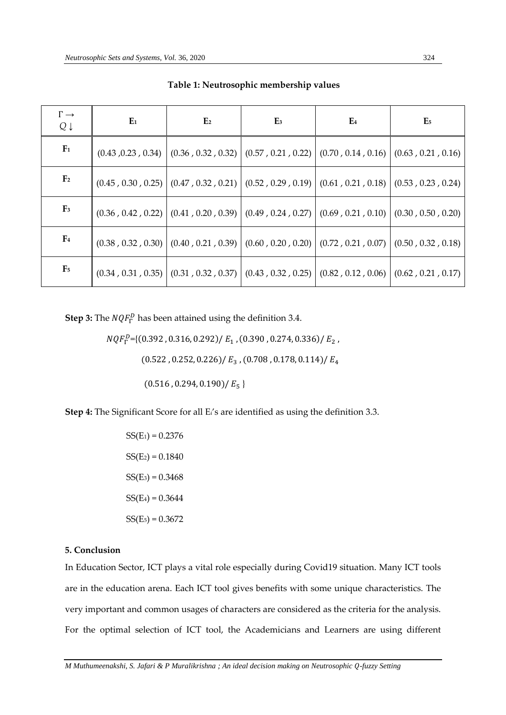| $\Gamma \rightarrow$<br>$Q \downarrow$ | $E_1$ | E <sub>2</sub>                                                                                           | E3 | E <sub>4</sub> | E <sub>5</sub> |
|----------------------------------------|-------|----------------------------------------------------------------------------------------------------------|----|----------------|----------------|
| F <sub>1</sub>                         |       | $(0.43, 0.23, 0.34)$ $(0.36, 0.32, 0.32)$ $(0.57, 0.21, 0.22)$ $(0.70, 0.14, 0.16)$ $(0.63, 0.21, 0.16)$ |    |                |                |
| F <sub>2</sub>                         |       | $(0.45, 0.30, 0.25)$ $(0.47, 0.32, 0.21)$ $(0.52, 0.29, 0.19)$ $(0.61, 0.21, 0.18)$ $(0.53, 0.23, 0.24)$ |    |                |                |
| $\mathbf{F}_3$                         |       | $(0.36, 0.42, 0.22)$ $(0.41, 0.20, 0.39)$ $(0.49, 0.24, 0.27)$ $(0.69, 0.21, 0.10)$ $(0.30, 0.50, 0.20)$ |    |                |                |
| F <sub>4</sub>                         |       | $(0.38, 0.32, 0.30)$ $(0.40, 0.21, 0.39)$ $(0.60, 0.20, 0.20)$ $(0.72, 0.21, 0.07)$ $(0.50, 0.32, 0.18)$ |    |                |                |
| F <sub>5</sub>                         |       | $(0.34, 0.31, 0.35)$ $(0.31, 0.32, 0.37)$ $(0.43, 0.32, 0.25)$ $(0.82, 0.12, 0.06)$ $(0.62, 0.21, 0.17)$ |    |                |                |

**Table 1: Neutrosophic membership values**

**Step 3:** The  $NQF_{\Gamma}^D$  has been attained using the definition 3.4.

 $NQF_{\Gamma}^{D}$ ={(0.392,0.316,0.292)/ $E_{1}$ ,(0.390,0.274,0.336)/ $E_{2}$ ,  $(0.522, 0.252, 0.226) / E<sub>3</sub>$ ,  $(0.708, 0.178, 0.114) / E<sub>4</sub>$  $(0.516, 0.294, 0.190) / E_5$ 

**Step 4:** The Significant Score for all Ei's are identified as using the definition 3.3.

 $SS(E_1) = 0.2376$  $SS(E_2) = 0.1840$  $SS(E_3) = 0.3468$  $SS(E_4) = 0.3644$  $SS(E_5) = 0.3672$ 

## **5. Conclusion**

In Education Sector, ICT plays a vital role especially during Covid19 situation. Many ICT tools are in the education arena. Each ICT tool gives benefits with some unique characteristics. The very important and common usages of characters are considered as the criteria for the analysis. For the optimal selection of ICT tool, the Academicians and Learners are using different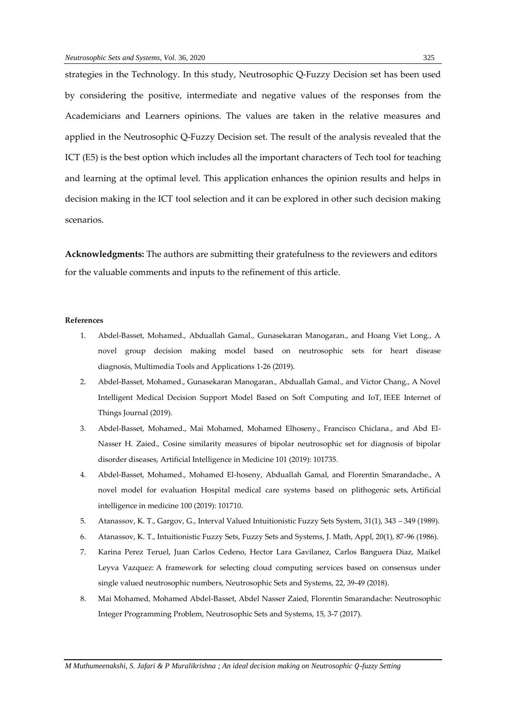strategies in the Technology. In this study, Neutrosophic Q-Fuzzy Decision set has been used by considering the positive, intermediate and negative values of the responses from the Academicians and Learners opinions. The values are taken in the relative measures and applied in the Neutrosophic Q-Fuzzy Decision set. The result of the analysis revealed that the ICT (E5) is the best option which includes all the important characters of Tech tool for teaching and learning at the optimal level. This application enhances the opinion results and helps in decision making in the ICT tool selection and it can be explored in other such decision making scenarios.

**Acknowledgments:** The authors are submitting their gratefulness to the reviewers and editors for the valuable comments and inputs to the refinement of this article.

#### **References**

- 1. Abdel-Basset, Mohamed., Abduallah Gamal., Gunasekaran Manogaran., and Hoang Viet Long., A novel group decision making model based on neutrosophic sets for heart disease diagnosis, Multimedia Tools and Applications 1-26 (2019).
- 2. Abdel-Basset, Mohamed., Gunasekaran Manogaran., Abduallah Gamal., and Victor Chang., A Novel Intelligent Medical Decision Support Model Based on Soft Computing and IoT, IEEE Internet of Things Journal (2019).
- 3. Abdel-Basset, Mohamed., Mai Mohamed, Mohamed Elhoseny., Francisco Chiclana., and Abd El-Nasser H. Zaied., Cosine similarity measures of bipolar neutrosophic set for diagnosis of bipolar disorder diseases, Artificial Intelligence in Medicine 101 (2019): 101735.
- 4. Abdel-Basset, Mohamed., Mohamed El-hoseny, Abduallah Gamal, and Florentin Smarandache., A novel model for evaluation Hospital medical care systems based on plithogenic sets, Artificial intelligence in medicine 100 (2019): 101710.
- 5. Atanassov, K. T., Gargov, G., Interval Valued Intuitionistic Fuzzy Sets System, 31(1), 343 349 (1989).
- 6. Atanassov, K. T., Intuitionistic Fuzzy Sets, Fuzzy Sets and Systems, J. Math, Appl, 20(1), 87-96 (1986).
- 7. Karina Perez Teruel, Juan Carlos Cedeno, Hector Lara Gavilanez, Carlos Banguera Diaz, Maikel Leyva Vazquez: [A framework for selecting cloud computing services based on consensus under](http://fs.unm.edu/NSS/AFrameworkForSelectingCloud.pdf)  [single valued neutrosophic numbers,](http://fs.unm.edu/NSS/AFrameworkForSelectingCloud.pdf) Neutrosophic Sets and Systems, 22, 39-49 (2018).
- 8. [Mai Mohamed, Mohamed Abdel-Basset, Abdel Nasser Zaied, Florentin Smarandache:](http://fs.unm.edu/NSS/NeutrosophicIntegerProgrammingProblem.pdf) Neutrosophic [Integer Programming Problem, Neutrosophic Sets and Systems, 15, 3-7 \(2017\).](http://fs.unm.edu/NSS/NeutrosophicIntegerProgrammingProblem.pdf)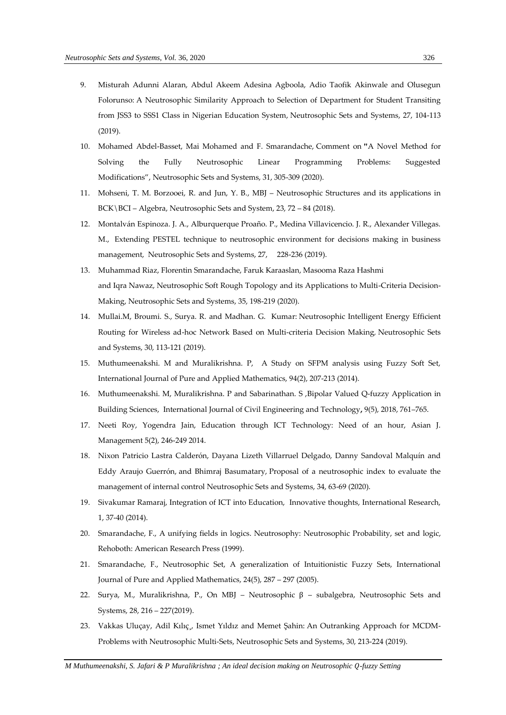- 9. Misturah Adunni Alaran, Abdul Akeem Adesina Agboola, Adio Taofik Akinwale and Olusegun Folorunso: [A Neutrosophic Similarity Approach to Selection of Department for Student Transiting](http://fs.unm.edu/NSS/Neutrosophic%20Similarity%20Approach%20to%20Selection%20of%20Department.pdf)  [from JSS3 to SSS1 Class in Nigerian Education System,](http://fs.unm.edu/NSS/Neutrosophic%20Similarity%20Approach%20to%20Selection%20of%20Department.pdf) Neutrosophic Sets and Systems, 27, 104-113 (2019).
- 10. Mohamed Abdel-Basset, Mai Mohamed and F. Smarandache, [Comment on](http://fs.unm.edu/NSS/FullyNeutrosophicLPP.pdf) **"**[A Novel Method for](http://fs.unm.edu/NSS/FullyNeutrosophicLPP.pdf)  [Solving the Fully Neutrosophic Linear Programming Problems: Suggested](http://fs.unm.edu/NSS/FullyNeutrosophicLPP.pdf)  [Modifications"](http://fs.unm.edu/NSS/FullyNeutrosophicLPP.pdf), Neutrosophic Sets and Systems, 31, 305-309 (2020).
- 11. Mohseni, T. M. Borzooei, R. and Jun, Y. B., MBJ Neutrosophic Structures and its applications in BCK\BCI – Algebra, Neutrosophic Sets and System, 23, 72 – 84 (2018).
- 12. Montalván Espinoza. J. A., Alburquerque Proaño. P., Medina Villavicencio. J. R., Alexander Villegas. M., [Extending PESTEL technique to neutrosophic environment for decisions making in business](http://fs.unm.edu/NSS/Extending%20PESTEL%20technique%20to%20neutrosophic.pdf)  [management,](http://fs.unm.edu/NSS/Extending%20PESTEL%20technique%20to%20neutrosophic.pdf) Neutrosophic Sets and Systems, 27, 228-236 (2019).
- 13. Muhammad Riaz, Florentin Smarandache, Faruk Karaaslan, Masooma Raza Hashmi and Iqra Nawaz, Neutrosophic [Soft Rough Topology and its Applications to Multi-Criteria Decision-](http://fs.unm.edu/NSS/NeutrosophicSoftRough12.pdf)[Making,](http://fs.unm.edu/NSS/NeutrosophicSoftRough12.pdf) Neutrosophic Sets and Systems, 35, 198-219 (2020).
- 14. Mullai.M, Broumi. S., Surya. R. and Madhan. G. Kumar: [Neutrosophic Intelligent Energy Efficient](http://fs.unm.edu/NSS/NeutrosophicIntelligentEnergyEfficient.pdf)  [Routing for Wireless ad-hoc Network Based on Multi-criteria Decision Making](http://fs.unm.edu/NSS/NeutrosophicIntelligentEnergyEfficient.pdf)*,* Neutrosophic Sets and Systems, 30, 113-121 (2019).
- 15. Muthumeenakshi. M and Muralikrishna. P, A Study on SFPM analysis using Fuzzy Soft Set, International Journal of Pure and Applied Mathematics, 94(2), 207-213 (2014).
- 16. Muthumeenakshi. M, Muralikrishna. P and Sabarinathan. S ,Bipolar Valued Q-fuzzy Application in Building Sciences, International Journal of Civil Engineering and Technology**,** 9(5), 2018, 761–765.
- 17. Neeti Roy, Yogendra Jain, Education through ICT Technology: Need of an hour, Asian J. Management 5(2), 246-249 2014.
- 18. Nixon Patricio Lastra Calderón, Dayana Lizeth Villarruel Delgado, Danny Sandoval Malquín and Eddy Araujo Guerrón, and Bhimraj Basumatary, [Proposal of a neutrosophic index to evaluate the](http://fs.unm.edu/NSS/ProposalNeutrosophicIndex.pdf)  [management of internal control](http://fs.unm.edu/NSS/ProposalNeutrosophicIndex.pdf) Neutrosophic Sets and Systems, 34, 63-69 (2020).
- 19. Sivakumar Ramaraj, Integration of ICT into Education, Innovative thoughts, International Research, 1, 37-40 (2014).
- 20. Smarandache, F., A unifying fields in logics. Neutrosophy: Neutrosophic Probability, set and logic, Rehoboth: American Research Press (1999).
- 21. Smarandache, F., Neutrosophic Set, A generalization of Intuitionistic Fuzzy Sets, International Journal of Pure and Applied Mathematics, 24(5), 287 – 297 (2005).
- 22. Surya, M., Muralikrishna, P., On MBJ Neutrosophic β subalgebra, Neutrosophic Sets and Systems, 28, 216 – 227(2019).
- 23. Vakkas Uluçay, Adil Kılıç,, Ismet Yıldız and Memet Şahin: [An Outranking Approach for MCDM-](http://fs.unm.edu/NSS/AnOutrankingApproachForMCDM.pdf)[Problems with Neutrosophic Multi-Sets,](http://fs.unm.edu/NSS/AnOutrankingApproachForMCDM.pdf) Neutrosophic Sets and Systems, 30, 213-224 (2019).